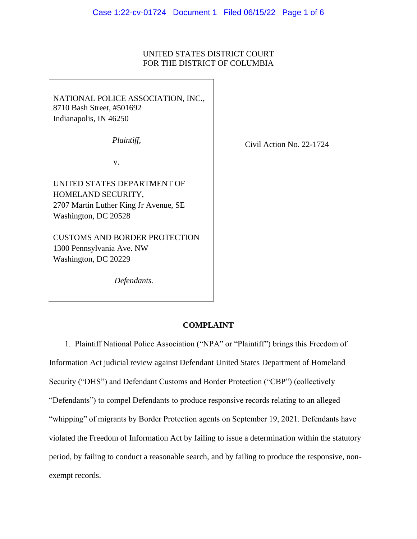## UNITED STATES DISTRICT COURT FOR THE DISTRICT OF COLUMBIA

NATIONAL POLICE ASSOCIATION, INC., 8710 Bash Street, #501692 Indianapolis, IN 46250

*Plaintiff,*

v.

UNITED STATES DEPARTMENT OF HOMELAND SECURITY, 2707 Martin Luther King Jr Avenue, SE Washington, DC 20528

CUSTOMS AND BORDER PROTECTION 1300 Pennsylvania Ave. NW Washington, DC 20229

*Defendants.*

Civil Action No. 22-1724

1. Plaintiff National Police Association ("NPA" or "Plaintiff") brings this Freedom of Information Act judicial review against Defendant United States Department of Homeland Security ("DHS") and Defendant Customs and Border Protection ("CBP") (collectively "Defendants") to compel Defendants to produce responsive records relating to an alleged "whipping" of migrants by Border Protection agents on September 19, 2021. Defendants have violated the Freedom of Information Act by failing to issue a determination within the statutory period, by failing to conduct a reasonable search, and by failing to produce the responsive, nonexempt records.

**COMPLAINT**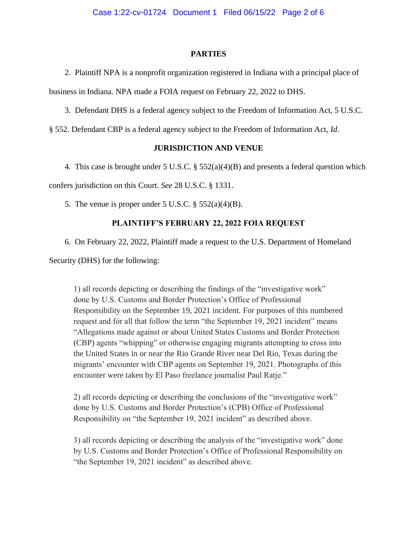### **PARTIES**

2. Plaintiff NPA is a nonprofit organization registered in Indiana with a principal place of business in Indiana. NPA made a FOIA request on February 22, 2022 to DHS.

3. Defendant DHS is a federal agency subject to the Freedom of Information Act, 5 U.S.C.

§ 552. Defendant CBP is a federal agency subject to the Freedom of Information Act, *Id.*

## **JURISDICTION AND VENUE**

4. This case is brought under 5 U.S.C. § 552(a)(4)(B) and presents a federal question which confers jurisdiction on this Court. *See* 28 U.S.C. § 1331.

5. The venue is proper under 5 U.S.C.  $\S$  552(a)(4)(B).

## **PLAINTIFF'S FEBRUARY 22, 2022 FOIA REQUEST**

6. On February 22, 2022, Plaintiff made a request to the U.S. Department of Homeland

Security (DHS) for the following:

1) all records depicting or describing the findings of the "investigative work" done by U.S. Customs and Border Protection's Office of Professional Responsibility on the September 19, 2021 incident. For purposes of this numbered request and for all that follow the term "the September 19, 2021 incident" means "Allegations made against or about United States Customs and Border Protection (CBP) agents "whipping" or otherwise engaging migrants attempting to cross into the United States in or near the Rio Grande River near Del Rio, Texas during the migrants' encounter with CBP agents on September 19, 2021. Photographs of this encounter were taken by El Paso freelance journalist Paul Ratje."

2) all records depicting or describing the conclusions of the "investigative work" done by U.S. Customs and Border Protection's (CPB) Office of Professional Responsibility on "the September 19, 2021 incident" as described above.

3) all records depicting or describing the analysis of the "investigative work" done by U.S. Customs and Border Protection's Office of Professional Responsibility on "the September 19, 2021 incident" as described above.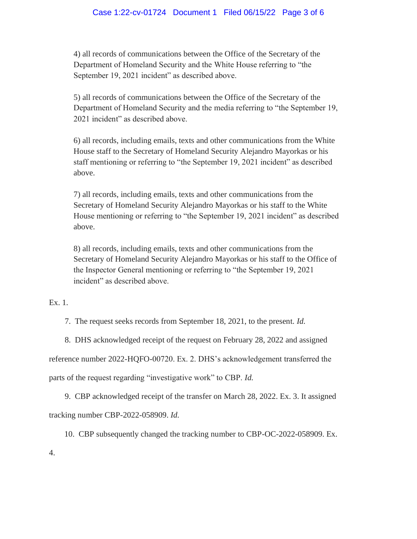4) all records of communications between the Office of the Secretary of the Department of Homeland Security and the White House referring to "the September 19, 2021 incident" as described above.

5) all records of communications between the Office of the Secretary of the Department of Homeland Security and the media referring to "the September 19, 2021 incident" as described above.

6) all records, including emails, texts and other communications from the White House staff to the Secretary of Homeland Security Alejandro Mayorkas or his staff mentioning or referring to "the September 19, 2021 incident" as described above.

7) all records, including emails, texts and other communications from the Secretary of Homeland Security Alejandro Mayorkas or his staff to the White House mentioning or referring to "the September 19, 2021 incident" as described above.

8) all records, including emails, texts and other communications from the Secretary of Homeland Security Alejandro Mayorkas or his staff to the Office of the Inspector General mentioning or referring to "the September 19, 2021 incident" as described above.

Ex. 1.

7. The request seeks records from September 18, 2021, to the present. *Id.*

8. DHS acknowledged receipt of the request on February 28, 2022 and assigned

reference number 2022-HQFO-00720. Ex. 2. DHS's acknowledgement transferred the

parts of the request regarding "investigative work" to CBP. *Id.*

9. CBP acknowledged receipt of the transfer on March 28, 2022. Ex. 3. It assigned tracking number CBP-2022-058909. *Id.*

10. CBP subsequently changed the tracking number to CBP-OC-2022-058909. Ex.

4.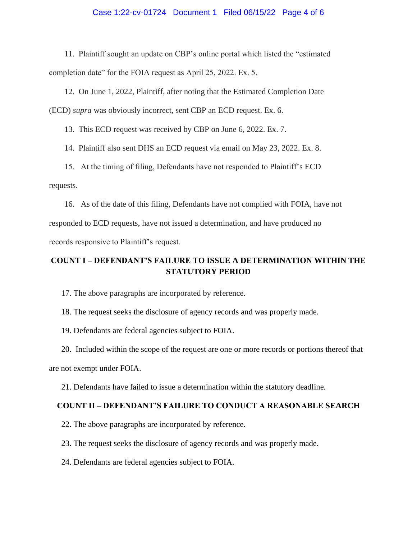## Case 1:22-cv-01724 Document 1 Filed 06/15/22 Page 4 of 6

11. Plaintiff sought an update on CBP's online portal which listed the "estimated completion date" for the FOIA request as April 25, 2022. Ex. 5.

12. On June 1, 2022, Plaintiff, after noting that the Estimated Completion Date (ECD) *supra* was obviously incorrect, sent CBP an ECD request. Ex. 6.

13. This ECD request was received by CBP on June 6, 2022. Ex. 7.

14. Plaintiff also sent DHS an ECD request via email on May 23, 2022. Ex. 8.

15. At the timing of filing, Defendants have not responded to Plaintiff's ECD requests.

16. As of the date of this filing, Defendants have not complied with FOIA, have not responded to ECD requests, have not issued a determination, and have produced no records responsive to Plaintiff's request.

# **COUNT I – DEFENDANT'S FAILURE TO ISSUE A DETERMINATION WITHIN THE STATUTORY PERIOD**

17. The above paragraphs are incorporated by reference.

18. The request seeks the disclosure of agency records and was properly made.

19. Defendants are federal agencies subject to FOIA.

20. Included within the scope of the request are one or more records or portions thereof that are not exempt under FOIA.

21. Defendants have failed to issue a determination within the statutory deadline.

## **COUNT II – DEFENDANT'S FAILURE TO CONDUCT A REASONABLE SEARCH**

- 22. The above paragraphs are incorporated by reference.
- 23. The request seeks the disclosure of agency records and was properly made.
- 24. Defendants are federal agencies subject to FOIA.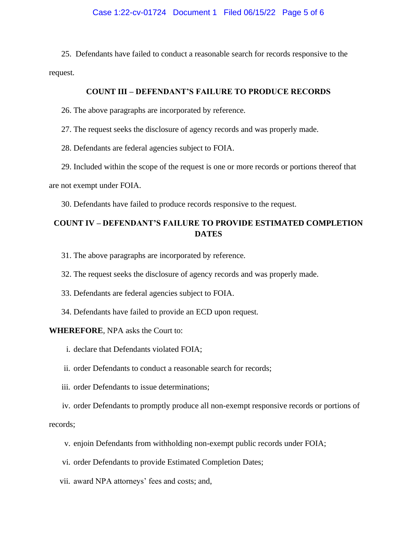25. Defendants have failed to conduct a reasonable search for records responsive to the request.

## **COUNT III – DEFENDANT'S FAILURE TO PRODUCE RECORDS**

26. The above paragraphs are incorporated by reference.

27. The request seeks the disclosure of agency records and was properly made.

28. Defendants are federal agencies subject to FOIA.

29. Included within the scope of the request is one or more records or portions thereof that

are not exempt under FOIA.

30. Defendants have failed to produce records responsive to the request.

# **COUNT IV – DEFENDANT'S FAILURE TO PROVIDE ESTIMATED COMPLETION DATES**

- 31. The above paragraphs are incorporated by reference.
- 32. The request seeks the disclosure of agency records and was properly made.
- 33. Defendants are federal agencies subject to FOIA.
- 34. Defendants have failed to provide an ECD upon request.

#### **WHEREFORE**, NPA asks the Court to:

- i. declare that Defendants violated FOIA;
- ii. order Defendants to conduct a reasonable search for records;
- iii. order Defendants to issue determinations;

iv. order Defendants to promptly produce all non-exempt responsive records or portions of records;

- v. enjoin Defendants from withholding non-exempt public records under FOIA;
- vi. order Defendants to provide Estimated Completion Dates;
- vii. award NPA attorneys' fees and costs; and,